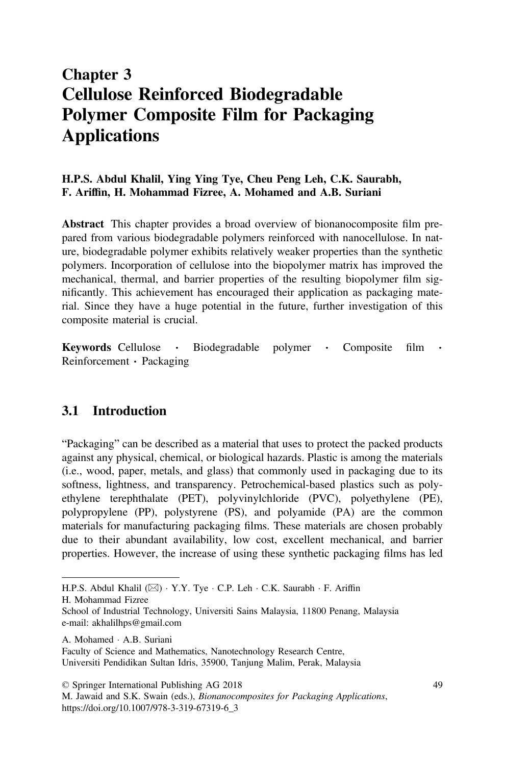# Chapter 3 Cellulose Reinforced Biodegradable Polymer Composite Film for Packaging Applications

# H.P.S. Abdul Khalil, Ying Ying Tye, Cheu Peng Leh, C.K. Saurabh, F. Ariffin, H. Mohammad Fizree, A. Mohamed and A.B. Suriani

Abstract This chapter provides a broad overview of bionanocomposite film prepared from various biodegradable polymers reinforced with nanocellulose. In nature, biodegradable polymer exhibits relatively weaker properties than the synthetic polymers. Incorporation of cellulose into the biopolymer matrix has improved the mechanical, thermal, and barrier properties of the resulting biopolymer film significantly. This achievement has encouraged their application as packaging material. Since they have a huge potential in the future, further investigation of this composite material is crucial.

Keywords Cellulose · Biodegradable polymer · Composite film · Reinforcement · Packaging

# 3.1 Introduction

"Packaging" can be described as a material that uses to protect the packed products against any physical, chemical, or biological hazards. Plastic is among the materials (i.e., wood, paper, metals, and glass) that commonly used in packaging due to its softness, lightness, and transparency. Petrochemical-based plastics such as polyethylene terephthalate (PET), polyvinylchloride (PVC), polyethylene (PE), polypropylene (PP), polystyrene (PS), and polyamide (PA) are the common materials for manufacturing packaging films. These materials are chosen probably due to their abundant availability, low cost, excellent mechanical, and barrier properties. However, the increase of using these synthetic packaging films has led

H.P.S. Abdul Khalil ( $\boxtimes$ ) · Y.Y. Tye · C.P. Leh · C.K. Saurabh · F. Ariffin H. Mohammad Fizree

A. Mohamed · A.B. Suriani

Faculty of Science and Mathematics, Nanotechnology Research Centre, Universiti Pendidikan Sultan Idris, 35900, Tanjung Malim, Perak, Malaysia

© Springer International Publishing AG 2018

School of Industrial Technology, Universiti Sains Malaysia, 11800 Penang, Malaysia e-mail: akhalilhps@gmail.com

M. Jawaid and S.K. Swain (eds.), Bionanocomposites for Packaging Applications, https://doi.org/10.1007/978-3-319-67319-6\_3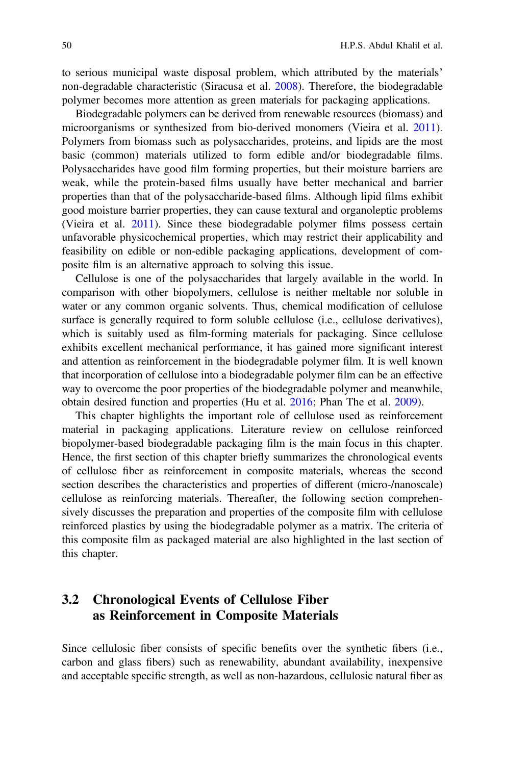to serious municipal waste disposal problem, which attributed by the materials' non-degradable characteristic (Siracusa et al. [2008](#page-19-0)). Therefore, the biodegradable polymer becomes more attention as green materials for packaging applications.

Biodegradable polymers can be derived from renewable resources (biomass) and microorganisms or synthesized from bio-derived monomers (Vieira et al. [2011\)](#page-19-0). Polymers from biomass such as polysaccharides, proteins, and lipids are the most basic (common) materials utilized to form edible and/or biodegradable films. Polysaccharides have good film forming properties, but their moisture barriers are weak, while the protein-based films usually have better mechanical and barrier properties than that of the polysaccharide-based films. Although lipid films exhibit good moisture barrier properties, they can cause textural and organoleptic problems (Vieira et al. [2011](#page-19-0)). Since these biodegradable polymer films possess certain unfavorable physicochemical properties, which may restrict their applicability and feasibility on edible or non-edible packaging applications, development of composite film is an alternative approach to solving this issue.

Cellulose is one of the polysaccharides that largely available in the world. In comparison with other biopolymers, cellulose is neither meltable nor soluble in water or any common organic solvents. Thus, chemical modification of cellulose surface is generally required to form soluble cellulose (i.e., cellulose derivatives), which is suitably used as film-forming materials for packaging. Since cellulose exhibits excellent mechanical performance, it has gained more significant interest and attention as reinforcement in the biodegradable polymer film. It is well known that incorporation of cellulose into a biodegradable polymer film can be an effective way to overcome the poor properties of the biodegradable polymer and meanwhile, obtain desired function and properties (Hu et al. [2016](#page-17-0); Phan The et al. [2009\)](#page-18-0).

This chapter highlights the important role of cellulose used as reinforcement material in packaging applications. Literature review on cellulose reinforced biopolymer-based biodegradable packaging film is the main focus in this chapter. Hence, the first section of this chapter briefly summarizes the chronological events of cellulose fiber as reinforcement in composite materials, whereas the second section describes the characteristics and properties of different (micro-/nanoscale) cellulose as reinforcing materials. Thereafter, the following section comprehensively discusses the preparation and properties of the composite film with cellulose reinforced plastics by using the biodegradable polymer as a matrix. The criteria of this composite film as packaged material are also highlighted in the last section of this chapter.

# 3.2 Chronological Events of Cellulose Fiber as Reinforcement in Composite Materials

Since cellulosic fiber consists of specific benefits over the synthetic fibers (i.e., carbon and glass fibers) such as renewability, abundant availability, inexpensive and acceptable specific strength, as well as non-hazardous, cellulosic natural fiber as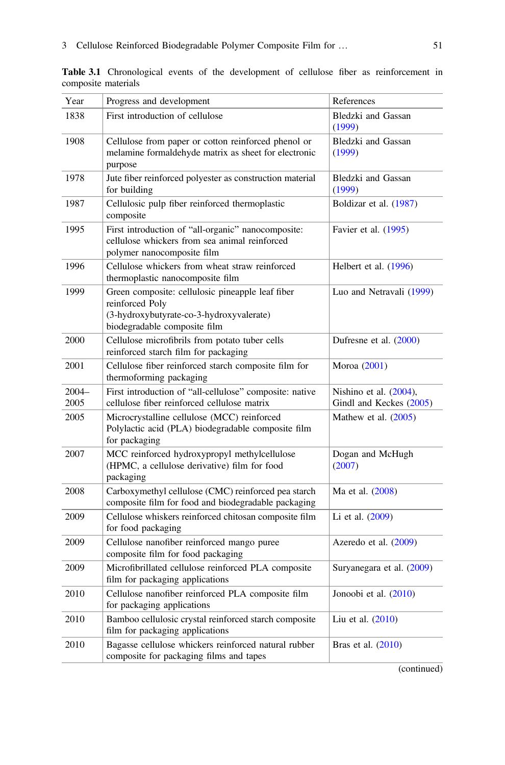| Year             | Progress and development                                                                                                                        | References                                           |
|------------------|-------------------------------------------------------------------------------------------------------------------------------------------------|------------------------------------------------------|
| 1838             | First introduction of cellulose                                                                                                                 | Bledzki and Gassan<br>(1999)                         |
| 1908             | Cellulose from paper or cotton reinforced phenol or<br>melamine formaldehyde matrix as sheet for electronic<br>purpose                          | Bledzki and Gassan<br>(1999)                         |
| 1978             | Jute fiber reinforced polyester as construction material<br>for building                                                                        | Bledzki and Gassan<br>(1999)                         |
| 1987             | Cellulosic pulp fiber reinforced thermoplastic<br>composite                                                                                     | Boldizar et al. (1987)                               |
| 1995             | First introduction of "all-organic" nanocomposite:<br>cellulose whickers from sea animal reinforced<br>polymer nanocomposite film               | Favier et al. $(1995)$                               |
| 1996             | Cellulose whickers from wheat straw reinforced<br>thermoplastic nanocomposite film                                                              | Helbert et al. $(1996)$                              |
| 1999             | Green composite: cellulosic pineapple leaf fiber<br>reinforced Poly<br>(3-hydroxybutyrate-co-3-hydroxyvalerate)<br>biodegradable composite film | Luo and Netravali (1999)                             |
| 2000             | Cellulose microfibrils from potato tuber cells<br>reinforced starch film for packaging                                                          | Dufresne et al. (2000)                               |
| 2001             | Cellulose fiber reinforced starch composite film for<br>thermoforming packaging                                                                 | Moroa (2001)                                         |
| $2004 -$<br>2005 | First introduction of "all-cellulose" composite: native<br>cellulose fiber reinforced cellulose matrix                                          | Nishino et al. $(2004)$ ,<br>Gindl and Keckes (2005) |
| 2005             | Microcrystalline cellulose (MCC) reinforced<br>Polylactic acid (PLA) biodegradable composite film<br>for packaging                              | Mathew et al. $(2005)$                               |
| 2007             | MCC reinforced hydroxypropyl methylcellulose<br>(HPMC, a cellulose derivative) film for food<br>packaging                                       | Dogan and McHugh<br>(2007)                           |
| 2008             | Carboxymethyl cellulose (CMC) reinforced pea starch<br>composite film for food and biodegradable packaging                                      | Ma et al. (2008)                                     |
| 2009             | Cellulose whiskers reinforced chitosan composite film<br>for food packaging                                                                     | Li et al. $(2009)$                                   |
| 2009             | Cellulose nanofiber reinforced mango puree<br>composite film for food packaging                                                                 | Azeredo et al. (2009)                                |
| 2009             | Microfibrillated cellulose reinforced PLA composite<br>film for packaging applications                                                          | Suryanegara et al. (2009)                            |
| 2010             | Cellulose nanofiber reinforced PLA composite film<br>for packaging applications                                                                 | Jonoobi et al. $(2010)$                              |
| 2010             | Bamboo cellulosic crystal reinforced starch composite<br>film for packaging applications                                                        | Liu et al. $(2010)$                                  |
| 2010             | Bagasse cellulose whickers reinforced natural rubber<br>composite for packaging films and tapes                                                 | Bras et al. (2010)                                   |

<span id="page-2-0"></span>Table 3.1 Chronological events of the development of cellulose fiber as reinforcement in composite materials

(continued)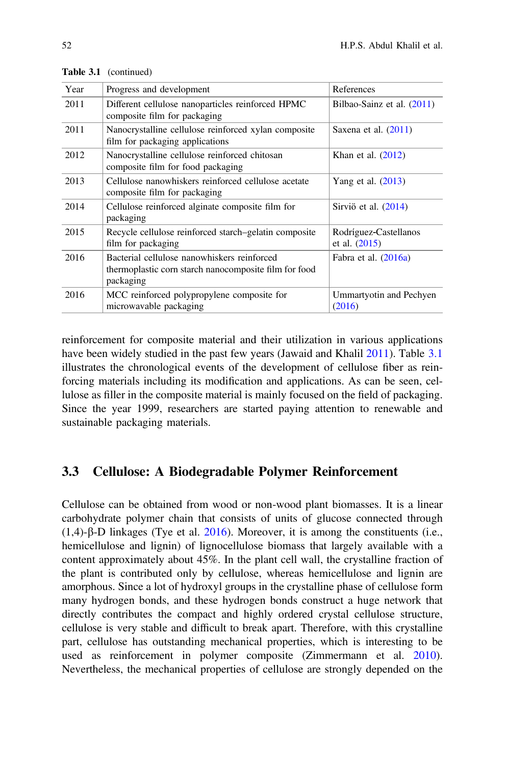| Year | Progress and development                                                                                          | References                               |
|------|-------------------------------------------------------------------------------------------------------------------|------------------------------------------|
| 2011 | Different cellulose nanoparticles reinforced HPMC<br>composite film for packaging                                 | Bilbao-Sainz et al. (2011)               |
| 2011 | Nanocrystalline cellulose reinforced xylan composite<br>film for packaging applications                           | Saxena et al. $(2011)$                   |
| 2012 | Nanocrystalline cellulose reinforced chitosan<br>composite film for food packaging                                | Khan et al. $(2012)$                     |
| 2013 | Cellulose nanowhiskers reinforced cellulose acetate<br>composite film for packaging                               | Yang et al. $(2013)$                     |
| 2014 | Cellulose reinforced alginate composite film for<br>packaging                                                     | Sirviö et al. $(2014)$                   |
| 2015 | Recycle cellulose reinforced starch–gelatin composite<br>film for packaging                                       | Rodríguez-Castellanos<br>et al. $(2015)$ |
| 2016 | Bacterial cellulose nanowhiskers reinforced<br>thermoplastic corn starch nanocomposite film for food<br>packaging | Fabra et al. $(2016a)$                   |
| 2016 | MCC reinforced polypropylene composite for<br>microwavable packaging                                              | Ummartyotin and Pechyen<br>(2016)        |

Table 3.1 (continued)

reinforcement for composite material and their utilization in various applications have been widely studied in the past few years (Jawaid and Khalil [2011\)](#page-17-0). Table [3.1](#page-2-0) illustrates the chronological events of the development of cellulose fiber as reinforcing materials including its modification and applications. As can be seen, cellulose as filler in the composite material is mainly focused on the field of packaging. Since the year 1999, researchers are started paying attention to renewable and sustainable packaging materials.

## 3.3 Cellulose: A Biodegradable Polymer Reinforcement

Cellulose can be obtained from wood or non-wood plant biomasses. It is a linear carbohydrate polymer chain that consists of units of glucose connected through  $(1,4)$ - $\beta$ -D linkages (Tye et al. [2016\)](#page-19-0). Moreover, it is among the constituents (i.e., hemicellulose and lignin) of lignocellulose biomass that largely available with a content approximately about 45%. In the plant cell wall, the crystalline fraction of the plant is contributed only by cellulose, whereas hemicellulose and lignin are amorphous. Since a lot of hydroxyl groups in the crystalline phase of cellulose form many hydrogen bonds, and these hydrogen bonds construct a huge network that directly contributes the compact and highly ordered crystal cellulose structure, cellulose is very stable and difficult to break apart. Therefore, with this crystalline part, cellulose has outstanding mechanical properties, which is interesting to be used as reinforcement in polymer composite (Zimmermann et al. [2010\)](#page-20-0). Nevertheless, the mechanical properties of cellulose are strongly depended on the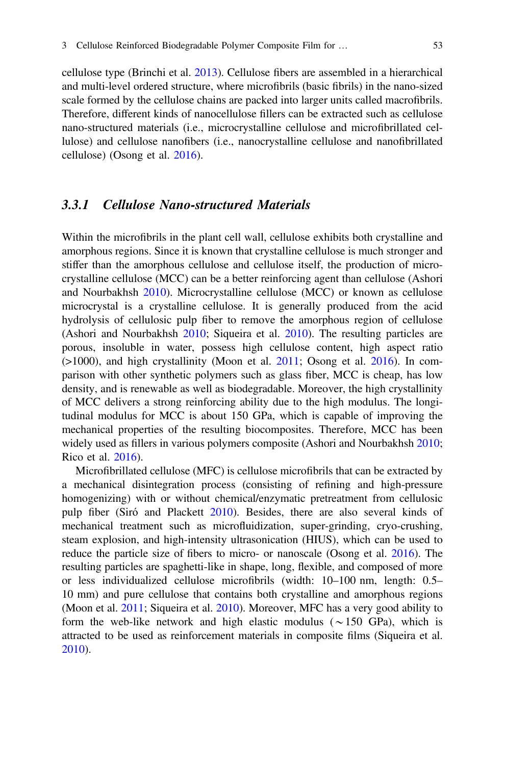cellulose type (Brinchi et al. [2013](#page-16-0)). Cellulose fibers are assembled in a hierarchical and multi-level ordered structure, where microfibrils (basic fibrils) in the nano-sized scale formed by the cellulose chains are packed into larger units called macrofibrils. Therefore, different kinds of nanocellulose fillers can be extracted such as cellulose nano-structured materials (i.e., microcrystalline cellulose and microfibrillated cellulose) and cellulose nanofibers (i.e., nanocrystalline cellulose and nanofibrillated cellulose) (Osong et al. [2016](#page-18-0)).

# 3.3.1 Cellulose Nano-structured Materials

Within the microfibrils in the plant cell wall, cellulose exhibits both crystalline and amorphous regions. Since it is known that crystalline cellulose is much stronger and stiffer than the amorphous cellulose and cellulose itself, the production of microcrystalline cellulose (MCC) can be a better reinforcing agent than cellulose (Ashori and Nourbakhsh [2010\)](#page-16-0). Microcrystalline cellulose (MCC) or known as cellulose microcrystal is a crystalline cellulose. It is generally produced from the acid hydrolysis of cellulosic pulp fiber to remove the amorphous region of cellulose (Ashori and Nourbakhsh [2010](#page-16-0); Siqueira et al. [2010](#page-19-0)). The resulting particles are porous, insoluble in water, possess high cellulose content, high aspect ratio (>1000), and high crystallinity (Moon et al. [2011;](#page-18-0) Osong et al. [2016\)](#page-18-0). In comparison with other synthetic polymers such as glass fiber, MCC is cheap, has low density, and is renewable as well as biodegradable. Moreover, the high crystallinity of MCC delivers a strong reinforcing ability due to the high modulus. The longitudinal modulus for MCC is about 150 GPa, which is capable of improving the mechanical properties of the resulting biocomposites. Therefore, MCC has been widely used as fillers in various polymers composite (Ashori and Nourbakhsh [2010;](#page-16-0) Rico et al. [2016](#page-19-0)).

Microfibrillated cellulose (MFC) is cellulose microfibrils that can be extracted by a mechanical disintegration process (consisting of refining and high-pressure homogenizing) with or without chemical/enzymatic pretreatment from cellulosic pulp fiber (Siró and Plackett [2010\)](#page-19-0). Besides, there are also several kinds of mechanical treatment such as microfluidization, super-grinding, cryo-crushing, steam explosion, and high-intensity ultrasonication (HIUS), which can be used to reduce the particle size of fibers to micro- or nanoscale (Osong et al. [2016\)](#page-18-0). The resulting particles are spaghetti-like in shape, long, flexible, and composed of more or less individualized cellulose microfibrils (width: 10–100 nm, length: 0.5– 10 mm) and pure cellulose that contains both crystalline and amorphous regions (Moon et al. [2011](#page-18-0); Siqueira et al. [2010](#page-19-0)). Moreover, MFC has a very good ability to form the web-like network and high elastic modulus ( $\sim$ 150 GPa), which is attracted to be used as reinforcement materials in composite films (Siqueira et al. [2010\)](#page-19-0).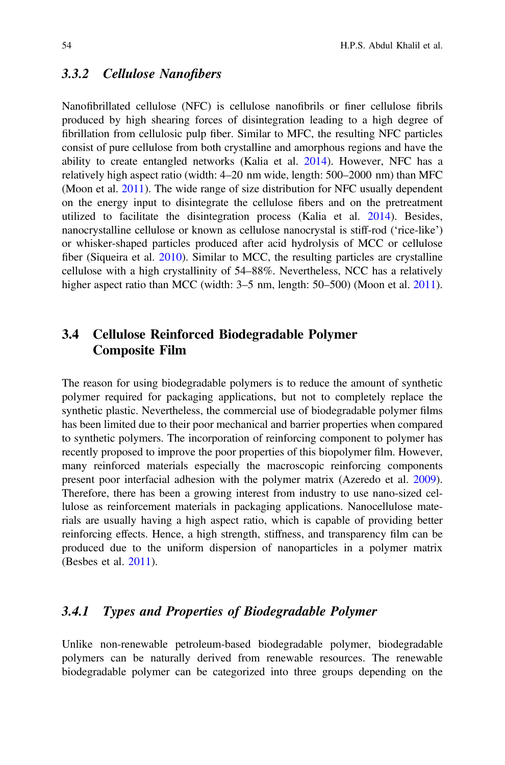# 3.3.2 Cellulose Nanofibers

Nanofibrillated cellulose (NFC) is cellulose nanofibrils or finer cellulose fibrils produced by high shearing forces of disintegration leading to a high degree of fibrillation from cellulosic pulp fiber. Similar to MFC, the resulting NFC particles consist of pure cellulose from both crystalline and amorphous regions and have the ability to create entangled networks (Kalia et al. [2014\)](#page-17-0). However, NFC has a relatively high aspect ratio (width: 4–20 nm wide, length: 500–2000 nm) than MFC (Moon et al. [2011\)](#page-18-0). The wide range of size distribution for NFC usually dependent on the energy input to disintegrate the cellulose fibers and on the pretreatment utilized to facilitate the disintegration process (Kalia et al. [2014](#page-17-0)). Besides, nanocrystalline cellulose or known as cellulose nanocrystal is stiff-rod ('rice-like') or whisker-shaped particles produced after acid hydrolysis of MCC or cellulose fiber (Siqueira et al. [2010](#page-19-0)). Similar to MCC, the resulting particles are crystalline cellulose with a high crystallinity of 54–88%. Nevertheless, NCC has a relatively higher aspect ratio than MCC (width: 3–5 nm, length: 50–500) (Moon et al. [2011\)](#page-18-0).

# 3.4 Cellulose Reinforced Biodegradable Polymer Composite Film

The reason for using biodegradable polymers is to reduce the amount of synthetic polymer required for packaging applications, but not to completely replace the synthetic plastic. Nevertheless, the commercial use of biodegradable polymer films has been limited due to their poor mechanical and barrier properties when compared to synthetic polymers. The incorporation of reinforcing component to polymer has recently proposed to improve the poor properties of this biopolymer film. However, many reinforced materials especially the macroscopic reinforcing components present poor interfacial adhesion with the polymer matrix (Azeredo et al. [2009\)](#page-16-0). Therefore, there has been a growing interest from industry to use nano-sized cellulose as reinforcement materials in packaging applications. Nanocellulose materials are usually having a high aspect ratio, which is capable of providing better reinforcing effects. Hence, a high strength, stiffness, and transparency film can be produced due to the uniform dispersion of nanoparticles in a polymer matrix (Besbes et al. [2011\)](#page-16-0).

### 3.4.1 Types and Properties of Biodegradable Polymer

Unlike non-renewable petroleum-based biodegradable polymer, biodegradable polymers can be naturally derived from renewable resources. The renewable biodegradable polymer can be categorized into three groups depending on the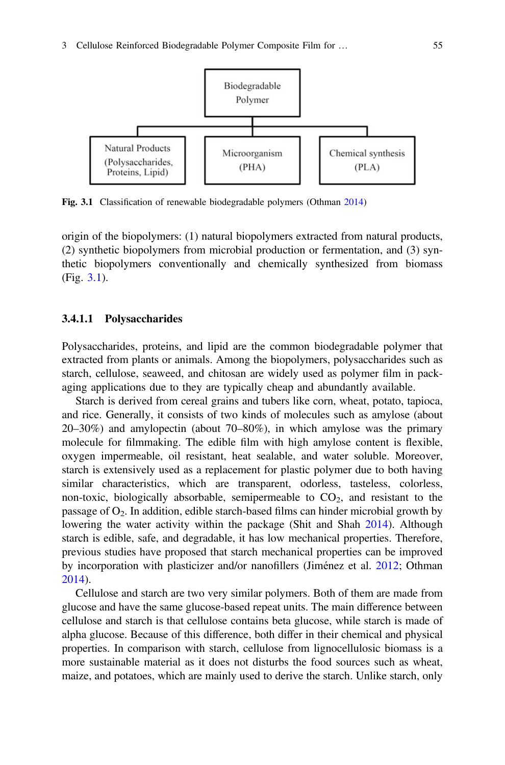

Fig. 3.1 Classification of renewable biodegradable polymers (Othman [2014](#page-18-0))

origin of the biopolymers: (1) natural biopolymers extracted from natural products, (2) synthetic biopolymers from microbial production or fermentation, and (3) synthetic biopolymers conventionally and chemically synthesized from biomass (Fig. 3.1).

#### 3.4.1.1 Polysaccharides

Polysaccharides, proteins, and lipid are the common biodegradable polymer that extracted from plants or animals. Among the biopolymers, polysaccharides such as starch, cellulose, seaweed, and chitosan are widely used as polymer film in packaging applications due to they are typically cheap and abundantly available.

Starch is derived from cereal grains and tubers like corn, wheat, potato, tapioca, and rice. Generally, it consists of two kinds of molecules such as amylose (about 20–30%) and amylopectin (about 70–80%), in which amylose was the primary molecule for filmmaking. The edible film with high amylose content is flexible, oxygen impermeable, oil resistant, heat sealable, and water soluble. Moreover, starch is extensively used as a replacement for plastic polymer due to both having similar characteristics, which are transparent, odorless, tasteless, colorless, non-toxic, biologically absorbable, semipermeable to  $CO<sub>2</sub>$ , and resistant to the passage of  $O_2$ . In addition, edible starch-based films can hinder microbial growth by lowering the water activity within the package (Shit and Shah [2014](#page-19-0)). Although starch is edible, safe, and degradable, it has low mechanical properties. Therefore, previous studies have proposed that starch mechanical properties can be improved by incorporation with plasticizer and/or nanofillers (Jiménez et al. [2012](#page-17-0); Othman [2014\)](#page-18-0).

Cellulose and starch are two very similar polymers. Both of them are made from glucose and have the same glucose-based repeat units. The main difference between cellulose and starch is that cellulose contains beta glucose, while starch is made of alpha glucose. Because of this difference, both differ in their chemical and physical properties. In comparison with starch, cellulose from lignocellulosic biomass is a more sustainable material as it does not disturbs the food sources such as wheat, maize, and potatoes, which are mainly used to derive the starch. Unlike starch, only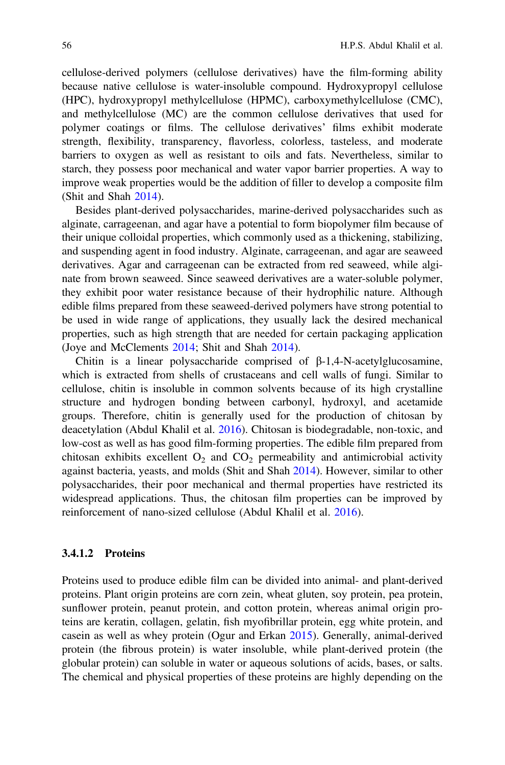cellulose-derived polymers (cellulose derivatives) have the film-forming ability because native cellulose is water-insoluble compound. Hydroxypropyl cellulose (HPC), hydroxypropyl methylcellulose (HPMC), carboxymethylcellulose (CMC), and methylcellulose (MC) are the common cellulose derivatives that used for polymer coatings or films. The cellulose derivatives' films exhibit moderate strength, flexibility, transparency, flavorless, colorless, tasteless, and moderate barriers to oxygen as well as resistant to oils and fats. Nevertheless, similar to starch, they possess poor mechanical and water vapor barrier properties. A way to improve weak properties would be the addition of filler to develop a composite film (Shit and Shah [2014](#page-19-0)).

Besides plant-derived polysaccharides, marine-derived polysaccharides such as alginate, carrageenan, and agar have a potential to form biopolymer film because of their unique colloidal properties, which commonly used as a thickening, stabilizing, and suspending agent in food industry. Alginate, carrageenan, and agar are seaweed derivatives. Agar and carrageenan can be extracted from red seaweed, while alginate from brown seaweed. Since seaweed derivatives are a water-soluble polymer, they exhibit poor water resistance because of their hydrophilic nature. Although edible films prepared from these seaweed-derived polymers have strong potential to be used in wide range of applications, they usually lack the desired mechanical properties, such as high strength that are needed for certain packaging application (Joye and McClements [2014](#page-17-0); Shit and Shah [2014](#page-19-0)).

Chitin is a linear polysaccharide comprised of  $\beta$ -1,4-N-acetylglucosamine, which is extracted from shells of crustaceans and cell walls of fungi. Similar to cellulose, chitin is insoluble in common solvents because of its high crystalline structure and hydrogen bonding between carbonyl, hydroxyl, and acetamide groups. Therefore, chitin is generally used for the production of chitosan by deacetylation (Abdul Khalil et al. [2016](#page-16-0)). Chitosan is biodegradable, non-toxic, and low-cost as well as has good film-forming properties. The edible film prepared from chitosan exhibits excellent  $O_2$  and  $CO_2$  permeability and antimicrobial activity against bacteria, yeasts, and molds (Shit and Shah [2014](#page-19-0)). However, similar to other polysaccharides, their poor mechanical and thermal properties have restricted its widespread applications. Thus, the chitosan film properties can be improved by reinforcement of nano-sized cellulose (Abdul Khalil et al. [2016](#page-16-0)).

#### 3.4.1.2 Proteins

Proteins used to produce edible film can be divided into animal- and plant-derived proteins. Plant origin proteins are corn zein, wheat gluten, soy protein, pea protein, sunflower protein, peanut protein, and cotton protein, whereas animal origin proteins are keratin, collagen, gelatin, fish myofibrillar protein, egg white protein, and casein as well as whey protein (Ogur and Erkan [2015](#page-18-0)). Generally, animal-derived protein (the fibrous protein) is water insoluble, while plant-derived protein (the globular protein) can soluble in water or aqueous solutions of acids, bases, or salts. The chemical and physical properties of these proteins are highly depending on the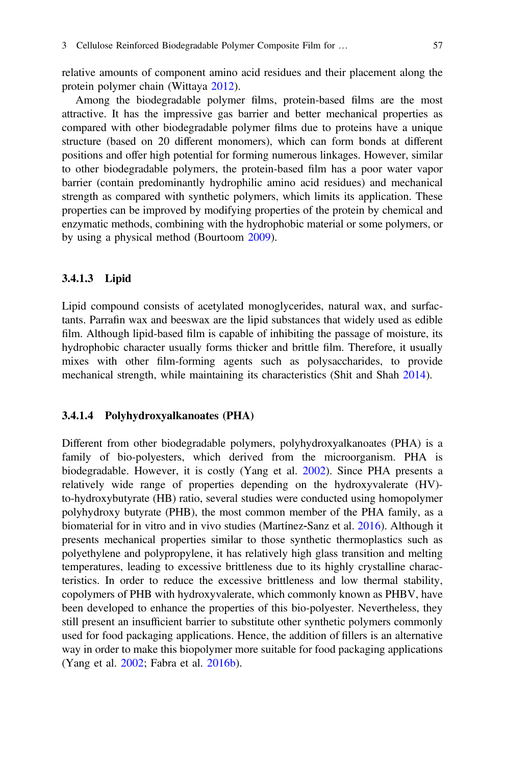relative amounts of component amino acid residues and their placement along the protein polymer chain (Wittaya [2012\)](#page-19-0).

Among the biodegradable polymer films, protein-based films are the most attractive. It has the impressive gas barrier and better mechanical properties as compared with other biodegradable polymer films due to proteins have a unique structure (based on 20 different monomers), which can form bonds at different positions and offer high potential for forming numerous linkages. However, similar to other biodegradable polymers, the protein-based film has a poor water vapor barrier (contain predominantly hydrophilic amino acid residues) and mechanical strength as compared with synthetic polymers, which limits its application. These properties can be improved by modifying properties of the protein by chemical and enzymatic methods, combining with the hydrophobic material or some polymers, or by using a physical method (Bourtoom [2009\)](#page-16-0).

#### 3.4.1.3 Lipid

Lipid compound consists of acetylated monoglycerides, natural wax, and surfactants. Parrafin wax and beeswax are the lipid substances that widely used as edible film. Although lipid-based film is capable of inhibiting the passage of moisture, its hydrophobic character usually forms thicker and brittle film. Therefore, it usually mixes with other film-forming agents such as polysaccharides, to provide mechanical strength, while maintaining its characteristics (Shit and Shah [2014\)](#page-19-0).

### 3.4.1.4 Polyhydroxyalkanoates (PHA)

Different from other biodegradable polymers, polyhydroxyalkanoates (PHA) is a family of bio-polyesters, which derived from the microorganism. PHA is biodegradable. However, it is costly (Yang et al. [2002\)](#page-19-0). Since PHA presents a relatively wide range of properties depending on the hydroxyvalerate (HV) to-hydroxybutyrate (HB) ratio, several studies were conducted using homopolymer polyhydroxy butyrate (PHB), the most common member of the PHA family, as a biomaterial for in vitro and in vivo studies (Martínez‐Sanz et al. [2016](#page-18-0)). Although it presents mechanical properties similar to those synthetic thermoplastics such as polyethylene and polypropylene, it has relatively high glass transition and melting temperatures, leading to excessive brittleness due to its highly crystalline characteristics. In order to reduce the excessive brittleness and low thermal stability, copolymers of PHB with hydroxyvalerate, which commonly known as PHBV, have been developed to enhance the properties of this bio-polyester. Nevertheless, they still present an insufficient barrier to substitute other synthetic polymers commonly used for food packaging applications. Hence, the addition of fillers is an alternative way in order to make this biopolymer more suitable for food packaging applications (Yang et al. [2002](#page-19-0); Fabra et al. [2016b](#page-17-0)).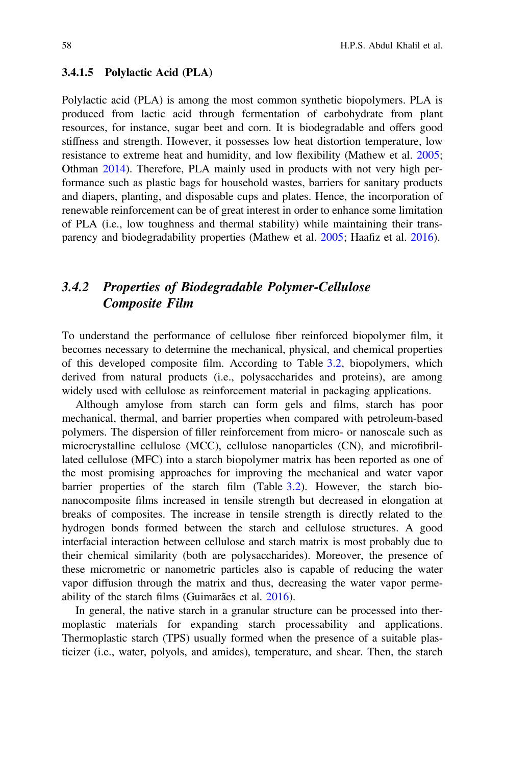#### 3.4.1.5 Polylactic Acid (PLA)

Polylactic acid (PLA) is among the most common synthetic biopolymers. PLA is produced from lactic acid through fermentation of carbohydrate from plant resources, for instance, sugar beet and corn. It is biodegradable and offers good stiffness and strength. However, it possesses low heat distortion temperature, low resistance to extreme heat and humidity, and low flexibility (Mathew et al. [2005;](#page-18-0) Othman [2014\)](#page-18-0). Therefore, PLA mainly used in products with not very high performance such as plastic bags for household wastes, barriers for sanitary products and diapers, planting, and disposable cups and plates. Hence, the incorporation of renewable reinforcement can be of great interest in order to enhance some limitation of PLA (i.e., low toughness and thermal stability) while maintaining their transparency and biodegradability properties (Mathew et al. [2005](#page-18-0); Haafiz et al. [2016\)](#page-17-0).

# 3.4.2 Properties of Biodegradable Polymer-Cellulose Composite Film

To understand the performance of cellulose fiber reinforced biopolymer film, it becomes necessary to determine the mechanical, physical, and chemical properties of this developed composite film. According to Table [3.2](#page-10-0), biopolymers, which derived from natural products (i.e., polysaccharides and proteins), are among widely used with cellulose as reinforcement material in packaging applications.

Although amylose from starch can form gels and films, starch has poor mechanical, thermal, and barrier properties when compared with petroleum-based polymers. The dispersion of filler reinforcement from micro- or nanoscale such as microcrystalline cellulose (MCC), cellulose nanoparticles (CN), and microfibrillated cellulose (MFC) into a starch biopolymer matrix has been reported as one of the most promising approaches for improving the mechanical and water vapor barrier properties of the starch film (Table [3.2\)](#page-10-0). However, the starch bionanocomposite films increased in tensile strength but decreased in elongation at breaks of composites. The increase in tensile strength is directly related to the hydrogen bonds formed between the starch and cellulose structures. A good interfacial interaction between cellulose and starch matrix is most probably due to their chemical similarity (both are polysaccharides). Moreover, the presence of these micrometric or nanometric particles also is capable of reducing the water vapor diffusion through the matrix and thus, decreasing the water vapor permeability of the starch films (Guimarães et al. [2016\)](#page-17-0).

In general, the native starch in a granular structure can be processed into thermoplastic materials for expanding starch processability and applications. Thermoplastic starch (TPS) usually formed when the presence of a suitable plasticizer (i.e., water, polyols, and amides), temperature, and shear. Then, the starch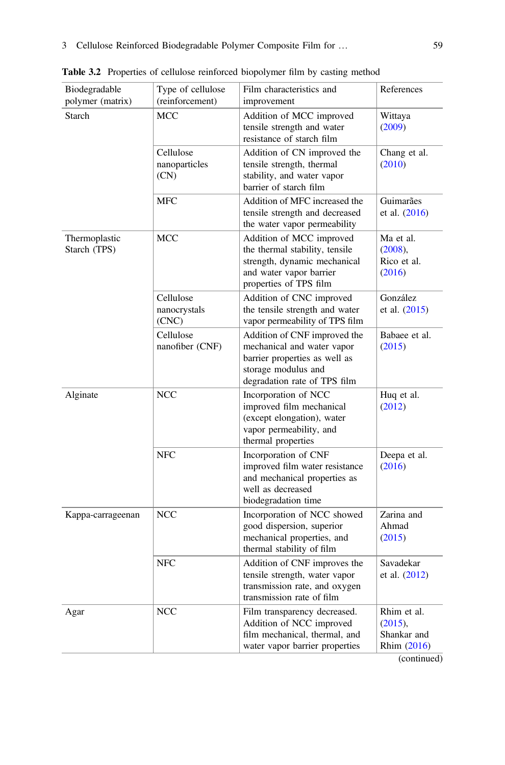| Biodegradable<br>polymer (matrix) | Type of cellulose<br>(reinforcement) | Film characteristics and<br>improvement                                                                                                            | References                                           |
|-----------------------------------|--------------------------------------|----------------------------------------------------------------------------------------------------------------------------------------------------|------------------------------------------------------|
| Starch                            | MCC                                  | Addition of MCC improved<br>tensile strength and water<br>resistance of starch film                                                                | Wittaya<br>(2009)                                    |
|                                   | Cellulose<br>nanoparticles<br>(CN)   | Addition of CN improved the<br>tensile strength, thermal<br>stability, and water vapor<br>barrier of starch film                                   | Chang et al.<br>(2010)                               |
|                                   | MFC                                  | Addition of MFC increased the<br>tensile strength and decreased<br>the water vapor permeability                                                    | Guimarães<br>et al. (2016)                           |
| Thermoplastic<br>Starch (TPS)     | <b>MCC</b>                           | Addition of MCC improved<br>the thermal stability, tensile<br>strength, dynamic mechanical<br>and water vapor barrier<br>properties of TPS film    | Ma et al.<br>(2008),<br>Rico et al.<br>(2016)        |
|                                   | Cellulose<br>nanocrystals<br>(CNC)   | Addition of CNC improved<br>the tensile strength and water<br>vapor permeability of TPS film                                                       | González<br>et al. $(2015)$                          |
|                                   | Cellulose<br>nanofiber (CNF)         | Addition of CNF improved the<br>mechanical and water vapor<br>barrier properties as well as<br>storage modulus and<br>degradation rate of TPS film | Babaee et al.<br>(2015)                              |
| Alginate                          | NCC                                  | Incorporation of NCC<br>improved film mechanical<br>(except elongation), water<br>vapor permeability, and<br>thermal properties                    | Hug et al.<br>(2012)                                 |
|                                   | NFC                                  | Incorporation of CNF<br>improved film water resistance<br>and mechanical properties as<br>well as decreased<br>biodegradation time                 | Deepa et al.<br>(2016)                               |
| Kappa-carrageenan                 | <b>NCC</b>                           | Incorporation of NCC showed<br>good dispersion, superior<br>mechanical properties, and<br>thermal stability of film                                | Zarina and<br>Ahmad<br>(2015)                        |
|                                   | <b>NFC</b>                           | Addition of CNF improves the<br>tensile strength, water vapor<br>transmission rate, and oxygen<br>transmission rate of film                        | Savadekar<br>et al. (2012)                           |
| Agar                              | NCC                                  | Film transparency decreased.<br>Addition of NCC improved<br>film mechanical, thermal, and<br>water vapor barrier properties                        | Rhim et al.<br>(2015).<br>Shankar and<br>Rhim (2016) |

<span id="page-10-0"></span>Table 3.2 Properties of cellulose reinforced biopolymer film by casting method

(continued)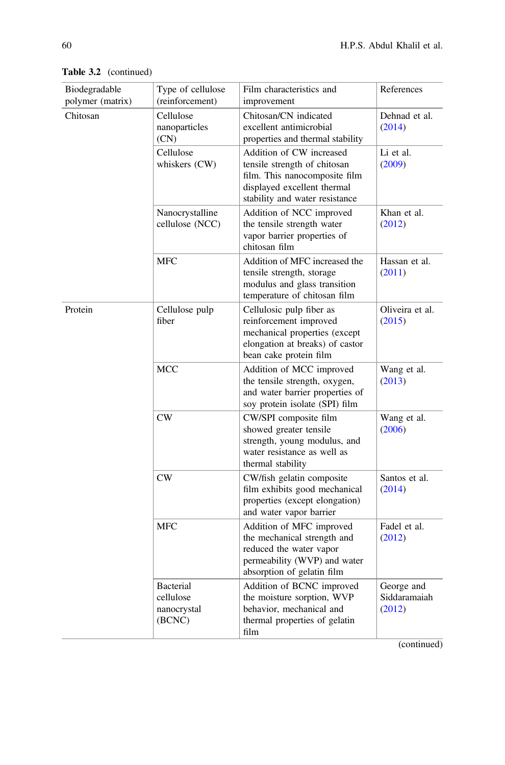| Biodegradable<br>polymer (matrix) | Type of cellulose<br>(reinforcement)                   | Film characteristics and<br>improvement                                                                                                                    | References                           |
|-----------------------------------|--------------------------------------------------------|------------------------------------------------------------------------------------------------------------------------------------------------------------|--------------------------------------|
| Chitosan                          | Cellulose<br>nanoparticles<br>(CN)                     | Chitosan/CN indicated<br>excellent antimicrobial<br>properties and thermal stability                                                                       | Dehnad et al.<br>(2014)              |
|                                   | Cellulose<br>whiskers (CW)                             | Addition of CW increased<br>tensile strength of chitosan<br>film. This nanocomposite film<br>displayed excellent thermal<br>stability and water resistance | Li et al.<br>(2009)                  |
|                                   | Nanocrystalline<br>cellulose (NCC)                     | Addition of NCC improved<br>the tensile strength water<br>vapor barrier properties of<br>chitosan film                                                     | Khan et al.<br>(2012)                |
|                                   | MFC                                                    | Addition of MFC increased the<br>tensile strength, storage<br>modulus and glass transition<br>temperature of chitosan film                                 | Hassan et al.<br>(2011)              |
| Protein                           | Cellulose pulp<br>fiber                                | Cellulosic pulp fiber as<br>reinforcement improved<br>mechanical properties (except<br>elongation at breaks) of castor<br>bean cake protein film           | Oliveira et al.<br>(2015)            |
|                                   | MCC                                                    | Addition of MCC improved<br>the tensile strength, oxygen,<br>and water barrier properties of<br>soy protein isolate (SPI) film                             | Wang et al.<br>(2013)                |
|                                   | CW                                                     | CW/SPI composite film<br>showed greater tensile<br>strength, young modulus, and<br>water resistance as well as<br>thermal stability                        | Wang et al.<br>(2006)                |
|                                   | CW                                                     | CW/fish gelatin composite<br>film exhibits good mechanical<br>properties (except elongation)<br>and water vapor barrier                                    | Santos et al.<br>(2014)              |
|                                   | <b>MFC</b>                                             | Addition of MFC improved<br>the mechanical strength and<br>reduced the water vapor<br>permeability (WVP) and water<br>absorption of gelatin film           | Fadel et al.<br>(2012)               |
|                                   | <b>Bacterial</b><br>cellulose<br>nanocrystal<br>(BCNC) | Addition of BCNC improved<br>the moisture sorption, WVP<br>behavior, mechanical and<br>thermal properties of gelatin<br>film                               | George and<br>Siddaramaiah<br>(2012) |

Table 3.2 (continued)

(continued)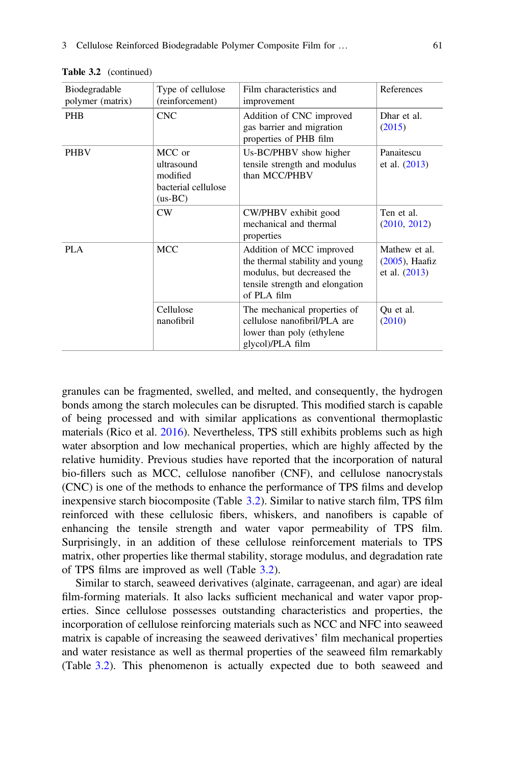| Biodegradable<br>polymer (matrix) | Type of cellulose<br>(reinforcement)                                 | Film characteristics and<br>improvement                                                                                                     | References                                            |
|-----------------------------------|----------------------------------------------------------------------|---------------------------------------------------------------------------------------------------------------------------------------------|-------------------------------------------------------|
| <b>PHB</b>                        | <b>CNC</b>                                                           | Addition of CNC improved<br>gas barrier and migration<br>properties of PHB film                                                             | Dhar et al.<br>(2015)                                 |
| <b>PHBV</b>                       | MCC or<br>ultrasound<br>modified<br>bacterial cellulose<br>$(us-BC)$ | Us-BC/PHBV show higher<br>tensile strength and modulus<br>than MCC/PHBV                                                                     | Panaitescu<br>et al. $(2013)$                         |
|                                   | CW                                                                   | CW/PHBV exhibit good<br>mechanical and thermal<br>properties                                                                                | Ten et al.<br>(2010, 2012)                            |
| PLA                               | <b>MCC</b>                                                           | Addition of MCC improved<br>the thermal stability and young<br>modulus, but decreased the<br>tensile strength and elongation<br>of PLA film | Mathew et al.<br>$(2005)$ , Haafiz<br>et al. $(2013)$ |
|                                   | Cellulose<br>nanofibril                                              | The mechanical properties of<br>cellulose nanofibril/PLA are<br>lower than poly (ethylene<br>glycol)/PLA film                               | Ou et al.<br>(2010)                                   |

Table 3.2 (continued)

granules can be fragmented, swelled, and melted, and consequently, the hydrogen bonds among the starch molecules can be disrupted. This modified starch is capable of being processed and with similar applications as conventional thermoplastic materials (Rico et al. [2016\)](#page-19-0). Nevertheless, TPS still exhibits problems such as high water absorption and low mechanical properties, which are highly affected by the relative humidity. Previous studies have reported that the incorporation of natural bio-fillers such as MCC, cellulose nanofiber (CNF), and cellulose nanocrystals (CNC) is one of the methods to enhance the performance of TPS films and develop inexpensive starch biocomposite (Table [3.2\)](#page-10-0). Similar to native starch film, TPS film reinforced with these cellulosic fibers, whiskers, and nanofibers is capable of enhancing the tensile strength and water vapor permeability of TPS film. Surprisingly, in an addition of these cellulose reinforcement materials to TPS matrix, other properties like thermal stability, storage modulus, and degradation rate of TPS films are improved as well (Table [3.2\)](#page-10-0).

Similar to starch, seaweed derivatives (alginate, carrageenan, and agar) are ideal film-forming materials. It also lacks sufficient mechanical and water vapor properties. Since cellulose possesses outstanding characteristics and properties, the incorporation of cellulose reinforcing materials such as NCC and NFC into seaweed matrix is capable of increasing the seaweed derivatives' film mechanical properties and water resistance as well as thermal properties of the seaweed film remarkably (Table [3.2](#page-10-0)). This phenomenon is actually expected due to both seaweed and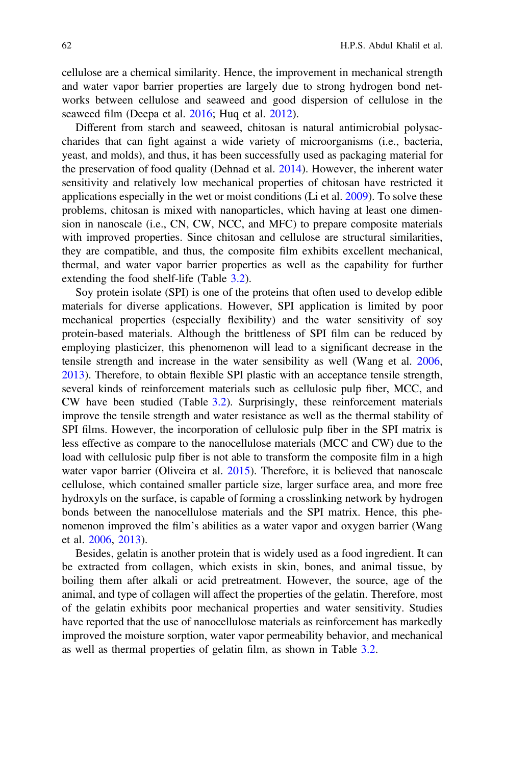cellulose are a chemical similarity. Hence, the improvement in mechanical strength and water vapor barrier properties are largely due to strong hydrogen bond networks between cellulose and seaweed and good dispersion of cellulose in the seaweed film (Deepa et al. [2016;](#page-16-0) Huq et al. [2012\)](#page-17-0).

Different from starch and seaweed, chitosan is natural antimicrobial polysaccharides that can fight against a wide variety of microorganisms (i.e., bacteria, yeast, and molds), and thus, it has been successfully used as packaging material for the preservation of food quality (Dehnad et al. [2014\)](#page-16-0). However, the inherent water sensitivity and relatively low mechanical properties of chitosan have restricted it applications especially in the wet or moist conditions (Li et al. [2009\)](#page-18-0). To solve these problems, chitosan is mixed with nanoparticles, which having at least one dimension in nanoscale (i.e., CN, CW, NCC, and MFC) to prepare composite materials with improved properties. Since chitosan and cellulose are structural similarities, they are compatible, and thus, the composite film exhibits excellent mechanical, thermal, and water vapor barrier properties as well as the capability for further extending the food shelf-life (Table [3.2](#page-10-0)).

Soy protein isolate (SPI) is one of the proteins that often used to develop edible materials for diverse applications. However, SPI application is limited by poor mechanical properties (especially flexibility) and the water sensitivity of soy protein-based materials. Although the brittleness of SPI film can be reduced by employing plasticizer, this phenomenon will lead to a significant decrease in the tensile strength and increase in the water sensibility as well (Wang et al. [2006](#page-19-0), [2013\)](#page-19-0). Therefore, to obtain flexible SPI plastic with an acceptance tensile strength, several kinds of reinforcement materials such as cellulosic pulp fiber, MCC, and CW have been studied (Table [3.2](#page-10-0)). Surprisingly, these reinforcement materials improve the tensile strength and water resistance as well as the thermal stability of SPI films. However, the incorporation of cellulosic pulp fiber in the SPI matrix is less effective as compare to the nanocellulose materials (MCC and CW) due to the load with cellulosic pulp fiber is not able to transform the composite film in a high water vapor barrier (Oliveira et al. [2015\)](#page-18-0). Therefore, it is believed that nanoscale cellulose, which contained smaller particle size, larger surface area, and more free hydroxyls on the surface, is capable of forming a crosslinking network by hydrogen bonds between the nanocellulose materials and the SPI matrix. Hence, this phenomenon improved the film's abilities as a water vapor and oxygen barrier (Wang et al. [2006](#page-19-0), [2013\)](#page-19-0).

Besides, gelatin is another protein that is widely used as a food ingredient. It can be extracted from collagen, which exists in skin, bones, and animal tissue, by boiling them after alkali or acid pretreatment. However, the source, age of the animal, and type of collagen will affect the properties of the gelatin. Therefore, most of the gelatin exhibits poor mechanical properties and water sensitivity. Studies have reported that the use of nanocellulose materials as reinforcement has markedly improved the moisture sorption, water vapor permeability behavior, and mechanical as well as thermal properties of gelatin film, as shown in Table [3.2.](#page-10-0)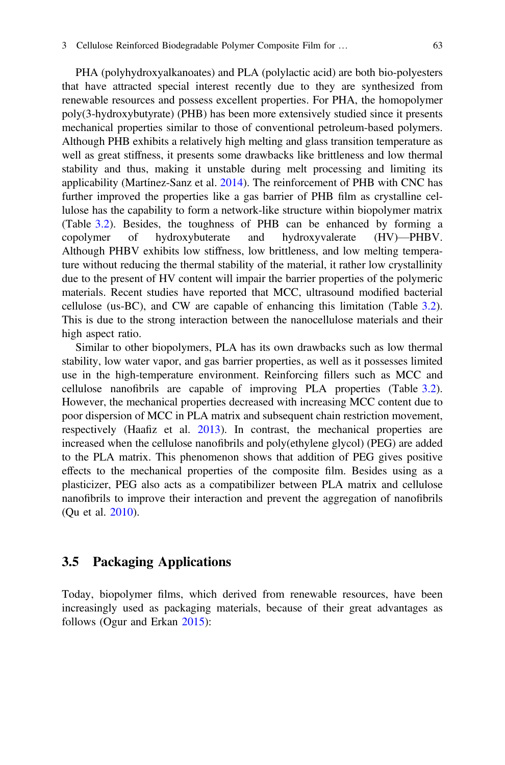PHA (polyhydroxyalkanoates) and PLA (polylactic acid) are both bio-polyesters that have attracted special interest recently due to they are synthesized from renewable resources and possess excellent properties. For PHA, the homopolymer poly(3-hydroxybutyrate) (PHB) has been more extensively studied since it presents mechanical properties similar to those of conventional petroleum-based polymers. Although PHB exhibits a relatively high melting and glass transition temperature as well as great stiffness, it presents some drawbacks like brittleness and low thermal stability and thus, making it unstable during melt processing and limiting its applicability (Martínez-Sanz et al. [2014\)](#page-18-0). The reinforcement of PHB with CNC has further improved the properties like a gas barrier of PHB film as crystalline cellulose has the capability to form a network-like structure within biopolymer matrix (Table [3.2](#page-10-0)). Besides, the toughness of PHB can be enhanced by forming a copolymer of hydroxybuterate and hydroxyvalerate (HV)—PHBV. Although PHBV exhibits low stiffness, low brittleness, and low melting temperature without reducing the thermal stability of the material, it rather low crystallinity due to the present of HV content will impair the barrier properties of the polymeric materials. Recent studies have reported that MCC, ultrasound modified bacterial cellulose (us-BC), and CW are capable of enhancing this limitation (Table [3.2\)](#page-10-0). This is due to the strong interaction between the nanocellulose materials and their high aspect ratio.

Similar to other biopolymers, PLA has its own drawbacks such as low thermal stability, low water vapor, and gas barrier properties, as well as it possesses limited use in the high-temperature environment. Reinforcing fillers such as MCC and cellulose nanofibrils are capable of improving PLA properties (Table [3.2\)](#page-10-0). However, the mechanical properties decreased with increasing MCC content due to poor dispersion of MCC in PLA matrix and subsequent chain restriction movement, respectively (Haafiz et al. [2013](#page-17-0)). In contrast, the mechanical properties are increased when the cellulose nanofibrils and poly(ethylene glycol) (PEG) are added to the PLA matrix. This phenomenon shows that addition of PEG gives positive effects to the mechanical properties of the composite film. Besides using as a plasticizer, PEG also acts as a compatibilizer between PLA matrix and cellulose nanofibrils to improve their interaction and prevent the aggregation of nanofibrils (Qu et al. [2010\)](#page-18-0).

### 3.5 Packaging Applications

Today, biopolymer films, which derived from renewable resources, have been increasingly used as packaging materials, because of their great advantages as follows (Ogur and Erkan [2015](#page-18-0)):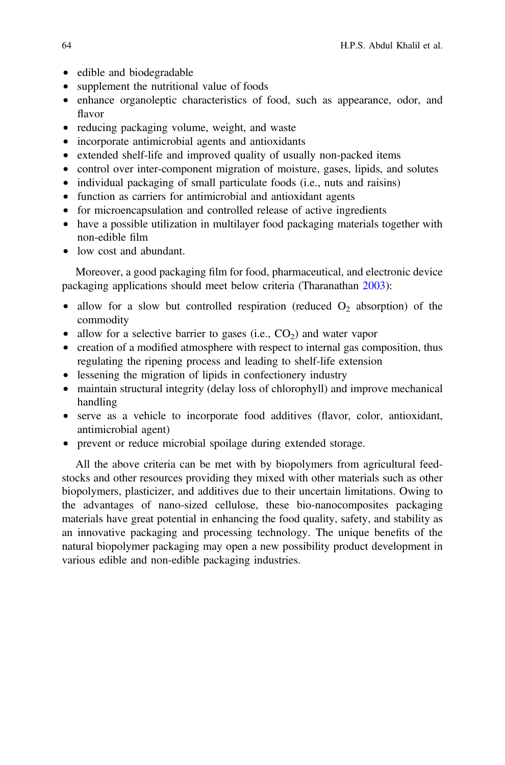- edible and biodegradable
- supplement the nutritional value of foods
- enhance organoleptic characteristics of food, such as appearance, odor, and flavor
- reducing packaging volume, weight, and waste
- incorporate antimicrobial agents and antioxidants
- extended shelf-life and improved quality of usually non-packed items
- control over inter-component migration of moisture, gases, lipids, and solutes
- individual packaging of small particulate foods (i.e., nuts and raisins)
- function as carriers for antimicrobial and antioxidant agents
- for microencapsulation and controlled release of active ingredients
- have a possible utilization in multilayer food packaging materials together with non-edible film
- low cost and abundant.

Moreover, a good packaging film for food, pharmaceutical, and electronic device packaging applications should meet below criteria (Tharanathan [2003\)](#page-19-0):

- allow for a slow but controlled respiration (reduced  $O_2$  absorption) of the commodity
- allow for a selective barrier to gases (i.e.,  $CO<sub>2</sub>$ ) and water vapor
- creation of a modified atmosphere with respect to internal gas composition, thus regulating the ripening process and leading to shelf-life extension
- lessening the migration of lipids in confectionery industry
- maintain structural integrity (delay loss of chlorophyll) and improve mechanical handling
- serve as a vehicle to incorporate food additives (flavor, color, antioxidant, antimicrobial agent)
- prevent or reduce microbial spoilage during extended storage.

All the above criteria can be met with by biopolymers from agricultural feedstocks and other resources providing they mixed with other materials such as other biopolymers, plasticizer, and additives due to their uncertain limitations. Owing to the advantages of nano-sized cellulose, these bio-nanocomposites packaging materials have great potential in enhancing the food quality, safety, and stability as an innovative packaging and processing technology. The unique benefits of the natural biopolymer packaging may open a new possibility product development in various edible and non-edible packaging industries.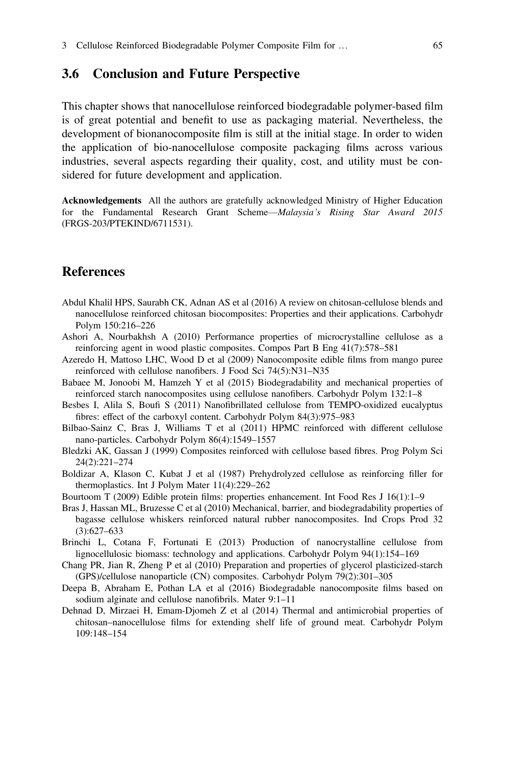# <span id="page-16-0"></span>3.6 Conclusion and Future Perspective

This chapter shows that nanocellulose reinforced biodegradable polymer-based film is of great potential and benefit to use as packaging material. Nevertheless, the development of bionanocomposite film is still at the initial stage. In order to widen the application of bio-nanocellulose composite packaging films across various industries, several aspects regarding their quality, cost, and utility must be considered for future development and application.

Acknowledgements All the authors are gratefully acknowledged Ministry of Higher Education for the Fundamental Research Grant Scheme—Malaysia's Rising Star Award 2015 (FRGS-203/PTEKIND/6711531).

# References

- Abdul Khalil HPS, Saurabh CK, Adnan AS et al (2016) A review on chitosan-cellulose blends and nanocellulose reinforced chitosan biocomposites: Properties and their applications. Carbohydr Polym 150:216–226
- Ashori A, Nourbakhsh A (2010) Performance properties of microcrystalline cellulose as a reinforcing agent in wood plastic composites. Compos Part B Eng 41(7):578–581
- Azeredo H, Mattoso LHC, Wood D et al (2009) Nanocomposite edible films from mango puree reinforced with cellulose nanofibers. J Food Sci 74(5):N31–N35
- Babaee M, Jonoobi M, Hamzeh Y et al (2015) Biodegradability and mechanical properties of reinforced starch nanocomposites using cellulose nanofibers. Carbohydr Polym 132:1–8
- Besbes I, Alila S, Boufi S (2011) Nanofibrillated cellulose from TEMPO-oxidized eucalyptus fibres: effect of the carboxyl content. Carbohydr Polym 84(3):975–983
- Bilbao-Sainz C, Bras J, Williams T et al (2011) HPMC reinforced with different cellulose nano-particles. Carbohydr Polym 86(4):1549–1557
- Bledzki AK, Gassan J (1999) Composites reinforced with cellulose based fibres. Prog Polym Sci 24(2):221–274
- Boldizar A, Klason C, Kubat J et al (1987) Prehydrolyzed cellulose as reinforcing filler for thermoplastics. Int J Polym Mater 11(4):229–262
- Bourtoom T (2009) Edible protein films: properties enhancement. Int Food Res J 16(1):1–9
- Bras J, Hassan ML, Bruzesse C et al (2010) Mechanical, barrier, and biodegradability properties of bagasse cellulose whiskers reinforced natural rubber nanocomposites. Ind Crops Prod 32 (3):627–633
- Brinchi L, Cotana F, Fortunati E (2013) Production of nanocrystalline cellulose from lignocellulosic biomass: technology and applications. Carbohydr Polym 94(1):154–169
- Chang PR, Jian R, Zheng P et al (2010) Preparation and properties of glycerol plasticized-starch (GPS)/cellulose nanoparticle (CN) composites. Carbohydr Polym 79(2):301–305
- Deepa B, Abraham E, Pothan LA et al (2016) Biodegradable nanocomposite films based on sodium alginate and cellulose nanofibrils. Mater 9:1–11
- Dehnad D, Mirzaei H, Emam-Djomeh Z et al (2014) Thermal and antimicrobial properties of chitosan–nanocellulose films for extending shelf life of ground meat. Carbohydr Polym 109:148–154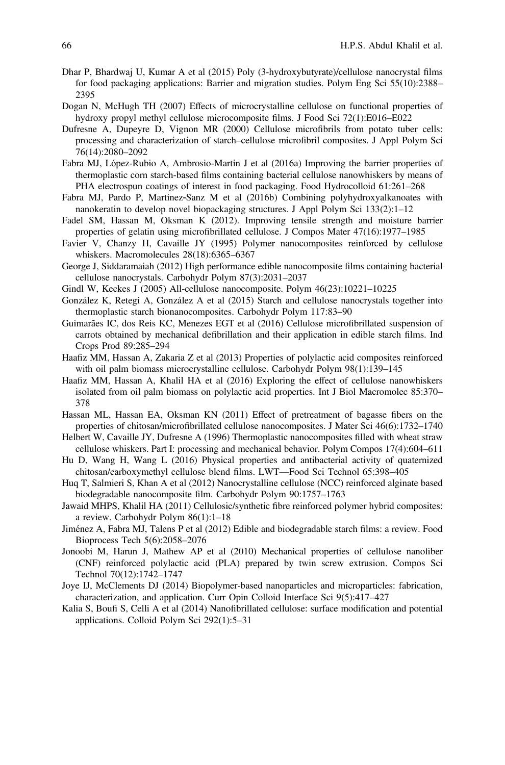- <span id="page-17-0"></span>Dhar P, Bhardwaj U, Kumar A et al (2015) Poly (3-hydroxybutyrate)/cellulose nanocrystal films for food packaging applications: Barrier and migration studies. Polym Eng Sci 55(10):2388– 2395
- Dogan N, McHugh TH (2007) Effects of microcrystalline cellulose on functional properties of hydroxy propyl methyl cellulose microcomposite films. J Food Sci 72(1):E016–E022
- Dufresne A, Dupeyre D, Vignon MR (2000) Cellulose microfibrils from potato tuber cells: processing and characterization of starch–cellulose microfibril composites. J Appl Polym Sci 76(14):2080–2092
- Fabra MJ, López-Rubio A, Ambrosio-Martín J et al (2016a) Improving the barrier properties of thermoplastic corn starch-based films containing bacterial cellulose nanowhiskers by means of PHA electrospun coatings of interest in food packaging. Food Hydrocolloid 61:261–268
- Fabra MJ, Pardo P, Martínez‐Sanz M et al (2016b) Combining polyhydroxyalkanoates with nanokeratin to develop novel biopackaging structures. J Appl Polym Sci 133(2):1–12
- Fadel SM, Hassan M, Oksman K (2012). Improving tensile strength and moisture barrier properties of gelatin using microfibrillated cellulose. J Compos Mater 47(16):1977–1985
- Favier V, Chanzy H, Cavaille JY (1995) Polymer nanocomposites reinforced by cellulose whiskers. Macromolecules 28(18):6365–6367
- George J, Siddaramaiah (2012) High performance edible nanocomposite films containing bacterial cellulose nanocrystals. Carbohydr Polym 87(3):2031–2037
- Gindl W, Keckes J (2005) All-cellulose nanocomposite. Polym 46(23):10221–10225
- González K, Retegi A, González A et al (2015) Starch and cellulose nanocrystals together into thermoplastic starch bionanocomposites. Carbohydr Polym 117:83–90
- Guimarães IC, dos Reis KC, Menezes EGT et al (2016) Cellulose microfibrillated suspension of carrots obtained by mechanical defibrillation and their application in edible starch films. Ind Crops Prod 89:285–294
- Haafiz MM, Hassan A, Zakaria Z et al (2013) Properties of polylactic acid composites reinforced with oil palm biomass microcrystalline cellulose. Carbohydr Polym 98(1):139–145
- Haafiz MM, Hassan A, Khalil HA et al (2016) Exploring the effect of cellulose nanowhiskers isolated from oil palm biomass on polylactic acid properties. Int J Biol Macromolec 85:370– 378
- Hassan ML, Hassan EA, Oksman KN (2011) Effect of pretreatment of bagasse fibers on the properties of chitosan/microfibrillated cellulose nanocomposites. J Mater Sci 46(6):1732–1740
- Helbert W, Cavaille JY, Dufresne A (1996) Thermoplastic nanocomposites filled with wheat straw cellulose whiskers. Part I: processing and mechanical behavior. Polym Compos 17(4):604–611
- Hu D, Wang H, Wang L (2016) Physical properties and antibacterial activity of quaternized chitosan/carboxymethyl cellulose blend films. LWT—Food Sci Technol 65:398–405
- Huq T, Salmieri S, Khan A et al (2012) Nanocrystalline cellulose (NCC) reinforced alginate based biodegradable nanocomposite film. Carbohydr Polym 90:1757–1763
- Jawaid MHPS, Khalil HA (2011) Cellulosic/synthetic fibre reinforced polymer hybrid composites: a review. Carbohydr Polym 86(1):1–18
- Jiménez A, Fabra MJ, Talens P et al (2012) Edible and biodegradable starch films: a review. Food Bioprocess Tech 5(6):2058–2076
- Jonoobi M, Harun J, Mathew AP et al (2010) Mechanical properties of cellulose nanofiber (CNF) reinforced polylactic acid (PLA) prepared by twin screw extrusion. Compos Sci Technol 70(12):1742–1747
- Joye IJ, McClements DJ (2014) Biopolymer-based nanoparticles and microparticles: fabrication, characterization, and application. Curr Opin Colloid Interface Sci 9(5):417–427
- Kalia S, Boufi S, Celli A et al (2014) Nanofibrillated cellulose: surface modification and potential applications. Colloid Polym Sci 292(1):5–31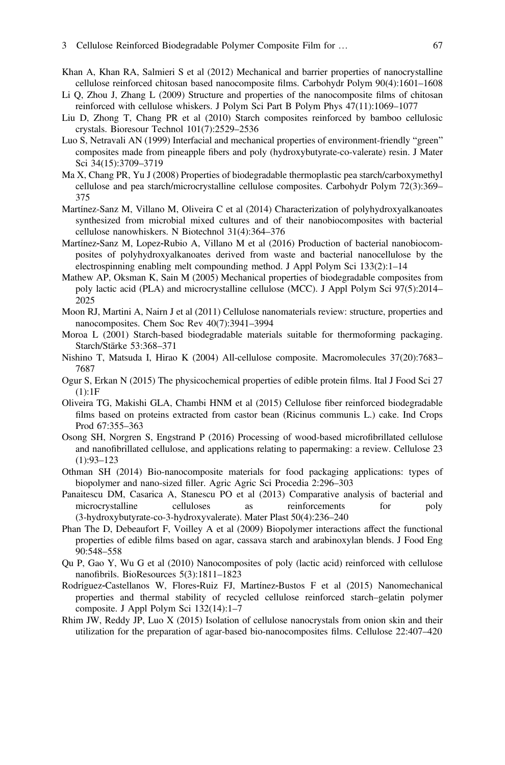- <span id="page-18-0"></span>Khan A, Khan RA, Salmieri S et al (2012) Mechanical and barrier properties of nanocrystalline cellulose reinforced chitosan based nanocomposite films. Carbohydr Polym 90(4):1601–1608
- Li Q, Zhou J, Zhang L (2009) Structure and properties of the nanocomposite films of chitosan reinforced with cellulose whiskers. J Polym Sci Part B Polym Phys 47(11):1069–1077
- Liu D, Zhong T, Chang PR et al (2010) Starch composites reinforced by bamboo cellulosic crystals. Bioresour Technol 101(7):2529–2536
- Luo S, Netravali AN (1999) Interfacial and mechanical properties of environment-friendly "green" composites made from pineapple fibers and poly (hydroxybutyrate-co-valerate) resin. J Mater Sci 34(15):3709–3719
- Ma X, Chang PR, Yu J (2008) Properties of biodegradable thermoplastic pea starch/carboxymethyl cellulose and pea starch/microcrystalline cellulose composites. Carbohydr Polym 72(3):369– 375
- Martínez-Sanz M, Villano M, Oliveira C et al (2014) Characterization of polyhydroxyalkanoates synthesized from microbial mixed cultures and of their nanobiocomposites with bacterial cellulose nanowhiskers. N Biotechnol 31(4):364–376
- Martínez‐Sanz M, Lopez‐Rubio A, Villano M et al (2016) Production of bacterial nanobiocomposites of polyhydroxyalkanoates derived from waste and bacterial nanocellulose by the electrospinning enabling melt compounding method. J Appl Polym Sci 133(2):1–14
- Mathew AP, Oksman K, Sain M (2005) Mechanical properties of biodegradable composites from poly lactic acid (PLA) and microcrystalline cellulose (MCC). J Appl Polym Sci 97(5):2014– 2025
- Moon RJ, Martini A, Nairn J et al (2011) Cellulose nanomaterials review: structure, properties and nanocomposites. Chem Soc Rev 40(7):3941–3994
- Moroa L (2001) Starch-based biodegradable materials suitable for thermoforming packaging. Starch/Stärke 53:368–371
- Nishino T, Matsuda I, Hirao K (2004) All-cellulose composite. Macromolecules 37(20):7683– 7687
- Ogur S, Erkan N (2015) The physicochemical properties of edible protein films. Ital J Food Sci 27  $(1):1F$
- Oliveira TG, Makishi GLA, Chambi HNM et al (2015) Cellulose fiber reinforced biodegradable films based on proteins extracted from castor bean (Ricinus communis L.) cake. Ind Crops Prod 67:355–363
- Osong SH, Norgren S, Engstrand P (2016) Processing of wood-based microfibrillated cellulose and nanofibrillated cellulose, and applications relating to papermaking: a review. Cellulose 23 (1):93–123
- Othman SH (2014) Bio-nanocomposite materials for food packaging applications: types of biopolymer and nano-sized filler. Agric Agric Sci Procedia 2:296–303
- Panaitescu DM, Casarica A, Stanescu PO et al (2013) Comparative analysis of bacterial and microcrystalline celluloses as reinforcements for poly (3-hydroxybutyrate-co-3-hydroxyvalerate). Mater Plast 50(4):236–240
- Phan The D, Debeaufort F, Voilley A et al (2009) Biopolymer interactions affect the functional properties of edible films based on agar, cassava starch and arabinoxylan blends. J Food Eng 90:548–558
- Qu P, Gao Y, Wu G et al (2010) Nanocomposites of poly (lactic acid) reinforced with cellulose nanofibrils. BioResources 5(3):1811–1823
- Rodríguez‐Castellanos W, Flores‐Ruiz FJ, Martínez‐Bustos F et al (2015) Nanomechanical properties and thermal stability of recycled cellulose reinforced starch–gelatin polymer composite. J Appl Polym Sci 132(14):1–7
- Rhim JW, Reddy JP, Luo X (2015) Isolation of cellulose nanocrystals from onion skin and their utilization for the preparation of agar-based bio-nanocomposites films. Cellulose 22:407–420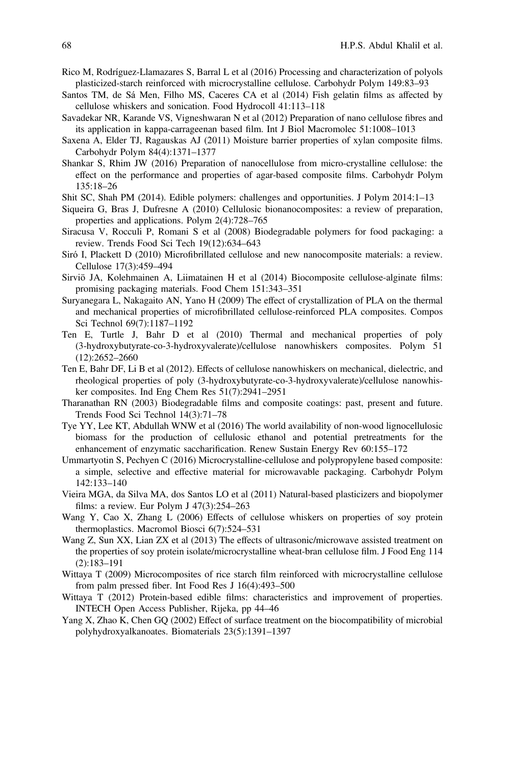- <span id="page-19-0"></span>Rico M, Rodríguez-Llamazares S, Barral L et al (2016) Processing and characterization of polyols plasticized-starch reinforced with microcrystalline cellulose. Carbohydr Polym 149:83–93
- Santos TM, de Sá Men, Filho MS, Caceres CA et al (2014) Fish gelatin films as affected by cellulose whiskers and sonication. Food Hydrocoll 41:113–118
- Savadekar NR, Karande VS, Vigneshwaran N et al (2012) Preparation of nano cellulose fibres and its application in kappa-carrageenan based film. Int J Biol Macromolec 51:1008–1013
- Saxena A, Elder TJ, Ragauskas AJ (2011) Moisture barrier properties of xylan composite films. Carbohydr Polym 84(4):1371–1377
- Shankar S, Rhim JW (2016) Preparation of nanocellulose from micro-crystalline cellulose: the effect on the performance and properties of agar-based composite films. Carbohydr Polym 135:18–26
- Shit SC, Shah PM (2014). Edible polymers: challenges and opportunities. J Polym 2014:1–13
- Siqueira G, Bras J, Dufresne A (2010) Cellulosic bionanocomposites: a review of preparation, properties and applications. Polym 2(4):728–765
- Siracusa V, Rocculi P, Romani S et al (2008) Biodegradable polymers for food packaging: a review. Trends Food Sci Tech 19(12):634–643
- Siró I, Plackett D (2010) Microfibrillated cellulose and new nanocomposite materials: a review. Cellulose 17(3):459–494
- Sirviö JA, Kolehmainen A, Liimatainen H et al (2014) Biocomposite cellulose-alginate films: promising packaging materials. Food Chem 151:343–351
- Suryanegara L, Nakagaito AN, Yano H (2009) The effect of crystallization of PLA on the thermal and mechanical properties of microfibrillated cellulose-reinforced PLA composites. Compos Sci Technol 69(7):1187–1192
- Ten E, Turtle J, Bahr D et al (2010) Thermal and mechanical properties of poly (3-hydroxybutyrate-co-3-hydroxyvalerate)/cellulose nanowhiskers composites. Polym 51 (12):2652–2660
- Ten E, Bahr DF, Li B et al (2012). Effects of cellulose nanowhiskers on mechanical, dielectric, and rheological properties of poly (3-hydroxybutyrate-co-3-hydroxyvalerate)/cellulose nanowhisker composites. Ind Eng Chem Res 51(7):2941–2951
- Tharanathan RN (2003) Biodegradable films and composite coatings: past, present and future. Trends Food Sci Technol 14(3):71–78
- Tye YY, Lee KT, Abdullah WNW et al (2016) The world availability of non-wood lignocellulosic biomass for the production of cellulosic ethanol and potential pretreatments for the enhancement of enzymatic saccharification. Renew Sustain Energy Rev 60:155–172
- Ummartyotin S, Pechyen C (2016) Microcrystalline-cellulose and polypropylene based composite: a simple, selective and effective material for microwavable packaging. Carbohydr Polym 142:133–140
- Vieira MGA, da Silva MA, dos Santos LO et al (2011) Natural-based plasticizers and biopolymer films: a review. Eur Polym J 47(3):254–263
- Wang Y, Cao X, Zhang L (2006) Effects of cellulose whiskers on properties of soy protein thermoplastics. Macromol Biosci 6(7):524–531
- Wang Z, Sun XX, Lian ZX et al (2013) The effects of ultrasonic/microwave assisted treatment on the properties of soy protein isolate/microcrystalline wheat-bran cellulose film. J Food Eng 114 (2):183–191
- Wittaya T (2009) Microcomposites of rice starch film reinforced with microcrystalline cellulose from palm pressed fiber. Int Food Res J 16(4):493–500
- Wittaya T (2012) Protein-based edible films: characteristics and improvement of properties. INTECH Open Access Publisher, Rijeka, pp 44–46
- Yang X, Zhao K, Chen GQ (2002) Effect of surface treatment on the biocompatibility of microbial polyhydroxyalkanoates. Biomaterials 23(5):1391–1397